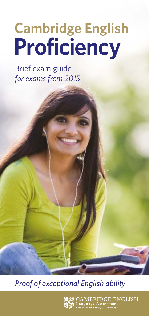# **Cambridge English<br>Proficiency**

Brief exam guide *for exams from 2015*

*Proof of exceptional English ability*



 $\mathbf{AMBRIDGE} \hspace{0.06cm} \mathbf{ENGLISH} \ \mathbf{angular} \ \mathbf{MSE} \ \mathbf{MSE} \ \mathbf{MSE} \ \mathbf{MSE} \ \mathbf{MSE} \ \mathbf{MSE} \ \mathbf{MSE} \ \mathbf{MSE} \ \mathbf{MSE} \ \mathbf{MSE} \ \mathbf{MSE} \ \mathbf{MSE} \ \mathbf{MSE} \ \mathbf{MSE} \ \mathbf{MSE} \ \mathbf{MSE} \ \mathbf{MSE} \ \mathbf{MSE} \ \mathbf{MSE} \ \mathbf{MSE} \ \mathbf{MSE} \ \mathbf{MSE} \ \mathbf{MSE} \ \math$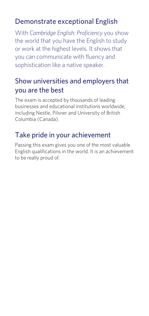# Demonstrate exceptional English

With *Cambridge English: Proficiency* you show the world that you have the English to study or work at the highest levels. It shows that you can communicate with fluency and sophistication like a native speaker.

## Show universities and employers that you are the best

The exam is accepted by thousands of leading businesses and educational institutions worldwide, including Nestle, Pilsner and University of British Columbia (Canada).

# Take pride in your achievement

Passing this exam gives you one of the most valuable English qualifications in the world. It is an achievement to be really proud of.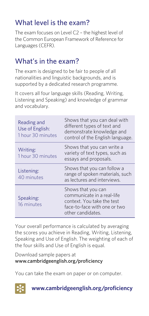# What level is the exam?

The exam focuses on Level C2 – the highest level of the Common European Framework of Reference for Languages (CEFR).

# What's in the exam?

The exam is designed to be fair to people of all nationalities and linguistic backgrounds, and is supported by a dedicated research programme.

It covers all four language skills (Reading, Writing, Listening and Speaking) and knowledge of grammar and vocabulary.

| Reading and<br>Use of English:<br>1 hour 30 minutes | Shows that you can deal with<br>different types of text and<br>demonstrate knowledge and<br>control of the English language.        |
|-----------------------------------------------------|-------------------------------------------------------------------------------------------------------------------------------------|
| Writing:<br>1 hour 30 minutes                       | Shows that you can write a<br>variety of text types, such as<br>essays and proposals.                                               |
| Listening:<br>40 minutes                            | Shows that you can follow a<br>range of spoken materials, such<br>as lectures and interviews.                                       |
| Speaking:<br>16 minutes                             | Shows that you can<br>communicate in a real-life<br>context. You take the test<br>face-to-face with one or two<br>other candidates. |

Your overall performance is calculated by averaging the scores you achieve in Reading, Writing, Listening, Speaking and Use of English. The weighting of each of the four skills and Use of English is equal.

Download sample papers at www.cambridgeenglish.org/proficiency

You can take the exam on paper or on computer.



**www.cambridgeenglish.org/proficiency**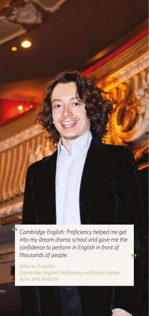*Cambridge English: Proficiency helped me get into my dream drama school and gave me the confidence to perform in English in front of thousands of people.*

Alberto Prandini *Cambridge English: Proficiency* certificate holder, actor and director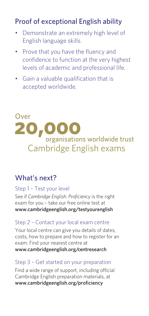# Proof of exceptional English ability

- Demonstrate an extremely high level of English language skills.
- Prove that you have the fluency and confidence to function at the very highest levels of academic and professional life.
- Gain a valuable qualification that is accepted worldwide.

### Over 20 00 organisations worldwide trust Cambridge English exams

## What's next?

#### Step 1 – Test your level

See if *Cambridge English: Proficiency* is the right exam for you – take our free online test at www.cambridgeenglish.org/testyourenglish

#### Step 2 – Contact your local exam centre

Your local centre can give you details of dates, costs, how to prepare and how to register for an exam. Find your nearest centre at www.cambridgeenglish.org/centresearch

#### Step 3 – Get started on your preparation

Find a wide range of support, including official Cambridge English preparation materials, at www.cambridgeenglish.org/proficiency